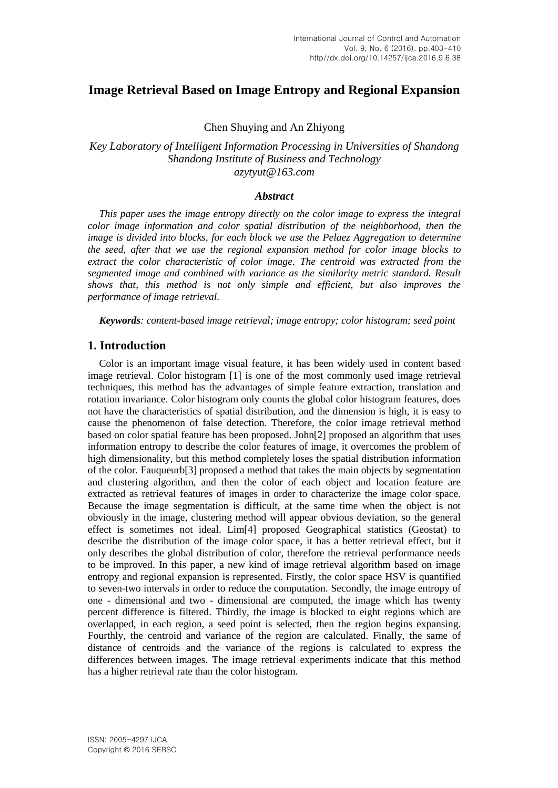## **Image Retrieval Based on Image Entropy and Regional Expansion**

Chen Shuying and An Zhiyong

*Key Laboratory of Intelligent Information Processing in Universities of Shandong Shandong Institute of Business and Technology azytyut@163.com*

### *Abstract*

*This paper uses the image entropy directly on the color image to express the integral color image information and color spatial distribution of the neighborhood, then the image is divided into blocks, for each block we use the Pelaez Aggregation to determine the seed, after that we use the regional expansion method for color image blocks to extract the color characteristic of color image. The centroid was extracted from the segmented image and combined with variance as the similarity metric standard. Result shows that, this method is not only simple and efficient, but also improves the performance of image retrieval.*

*Keywords: content-based image retrieval; image entropy; color histogram; seed point*

### **1. Introduction**

Color is an important image visual feature, it has been widely used in content based image retrieval. Color histogram [1] is one of the most commonly used image retrieval techniques, this method has the advantages of simple feature extraction, translation and rotation invariance. Color histogram only counts the global color histogram features, does not have the characteristics of spatial distribution, and the dimension is high, it is easy to cause the phenomenon of false detection. Therefore, the color image retrieval method based on color spatial feature has been proposed. John[2] proposed an algorithm that uses information entropy to describe the color features of image, it overcomes the problem of high dimensionality, but this method completely loses the spatial distribution information of the color. Fauqueurb[3] proposed a method that takes the main objects by segmentation and clustering algorithm, and then the color of each object and location feature are extracted as retrieval features of images in order to characterize the image color space. Because the image segmentation is difficult, at the same time when the object is not obviously in the image, clustering method will appear obvious deviation, so the general effect is sometimes not ideal. Lim[4] proposed Geographical statistics (Geostat) to describe the distribution of the image color space, it has a better retrieval effect, but it only describes the global distribution of color, therefore the retrieval performance needs to be improved. In this paper, a new kind of image retrieval algorithm based on image entropy and regional expansion is represented. Firstly, the color space HSV is quantified to seven-two intervals in order to reduce the computation. Secondly, the image entropy of one - dimensional and two - dimensional are computed, the image which has twenty percent difference is filtered. Thirdly, the image is blocked to eight regions which are overlapped, in each region, a seed point is selected, then the region begins expansing. Fourthly, the centroid and variance of the region are calculated. Finally, the same of distance of centroids and the variance of the regions is calculated to express the differences between images. The image retrieval experiments indicate that this method has a higher retrieval rate than the color histogram.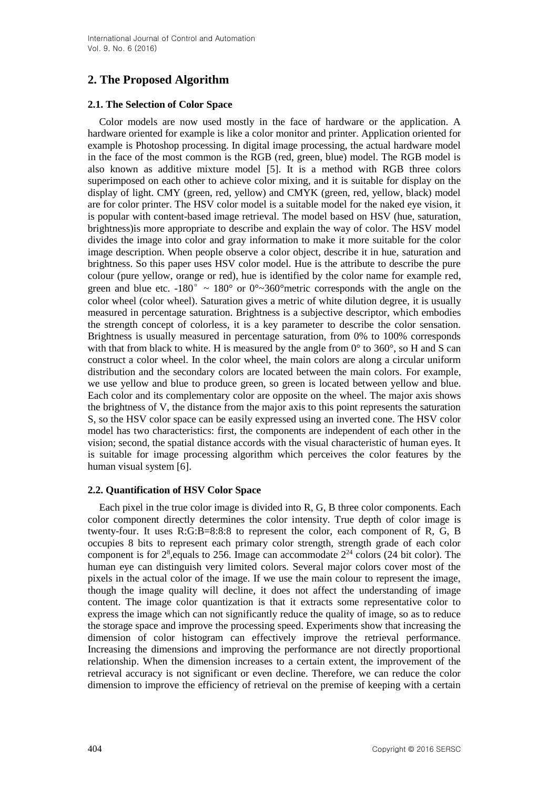# **2. The Proposed Algorithm**

### **2.1. The Selection of Color Space**

Color models are now used mostly in the face of hardware or the application. A hardware oriented for example is like a color monitor and printer. Application oriented for example is Photoshop processing. In digital image processing, the actual hardware model in the face of the most common is the RGB (red, green, blue) model. The RGB model is also known as additive mixture model [5]. It is a method with RGB three colors superimposed on each other to achieve color mixing, and it is suitable for display on the display of light. CMY (green, red, yellow) and CMYK (green, red, yellow, black) model are for color printer. The HSV color model is a suitable model for the naked eye vision, it is popular with content-based image retrieval. The model based on HSV (hue, saturation, brightness)is more appropriate to describe and explain the way of color. The HSV model divides the image into color and gray information to make it more suitable for the color image description. When people observe a color object, describe it in hue, saturation and brightness. So this paper uses HSV color model. Hue is the attribute to describe the pure colour (pure yellow, orange or red), hue is identified by the color name for example red, green and blue etc. -180°  $\sim 180^{\circ}$  or 0° $\sim 360^{\circ}$  metric corresponds with the angle on the color wheel (color wheel). Saturation gives a metric of white dilution degree, it is usually measured in percentage saturation. Brightness is a subjective descriptor, which embodies the strength concept of colorless, it is a key parameter to describe the color sensation. Brightness is usually measured in percentage saturation, from 0% to 100% corresponds with that from black to white. H is measured by the angle from  $0^{\circ}$  to  $360^{\circ}$ , so H and S can construct a color wheel. In the color wheel, the main colors are along a circular uniform distribution and the secondary colors are located between the main colors. For example, we use yellow and blue to produce green, so green is located between yellow and blue. Each color and its complementary color are opposite on the wheel. The major axis shows the brightness of V, the distance from the major axis to this point represents the saturation S, so the HSV color space can be easily expressed using an inverted cone. The HSV color model has two characteristics: first, the components are independent of each other in the vision; second, the spatial distance accords with the visual characteristic of human eyes. It is suitable for image processing algorithm which perceives the color features by the human visual system [6].

### **2.2. Quantification of HSV Color Space**

Each pixel in the true color image is divided into R, G, B three color components. Each color component directly determines the color intensity. True depth of color image is twenty-four. It uses R:G:B=8:8:8 to represent the color, each component of R, G, B occupies 8 bits to represent each primary color strength, strength grade of each color component is for  $2^{\circ}$ , equals to 256. Image can accommodate  $2^{24}$  colors (24 bit color). The human eye can distinguish very limited colors. Several major colors cover most of the pixels in the actual color of the image. If we use the main colour to represent the image, though the image quality will decline, it does not affect the understanding of image content. The image color quantization is that it extracts some representative color to express the image which can not significantly reduce the quality of image, so as to reduce the storage space and improve the processing speed. Experiments show that increasing the dimension of color histogram can effectively improve the retrieval performance. Increasing the dimensions and improving the performance are not directly proportional relationship. When the dimension increases to a certain extent, the improvement of the retrieval accuracy is not significant or even decline. Therefore, we can reduce the color dimension to improve the efficiency of retrieval on the premise of keeping with a certain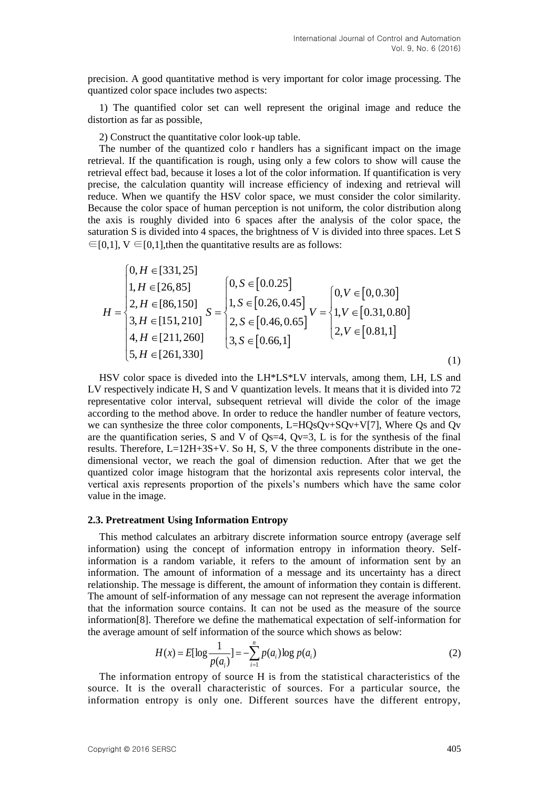precision. A good quantitative method is very important for color image processing. The quantized color space includes two aspects:

1) The quantified color set can well represent the original image and reduce the distortion as far as possible,

2) Construct the quantitative color look-up table.

The number of the quantized colo r handlers has a significant impact on the image retrieval. If the quantification is rough, using only a few colors to show will cause the retrieval effect bad, because it loses a lot of the color information. If quantification is very precise, the calculation quantity will increase efficiency of indexing and retrieval will reduce. When we quantify the HSV color space, we must consider the color similarity. Because the color space of human perception is not uniform, the color distribution along the axis is roughly divided into 6 spaces after the analysis of the color space, the saturation S is divided into 4 spaces, the brightness of V is divided into three spaces. Let S  $\epsilon \in [0,1]$ , V  $\epsilon \in [0,1]$ , then the quantitative results are as follows:

$$
H = \begin{cases} 0, H \in [331, 25] \\ 1, H \in [26, 85] \\ 2, H \in [86, 150] \\ 3, H \in [151, 210] \\ 4, H \in [211, 260] \\ 5, H \in [261, 330] \end{cases} S = \begin{cases} 0, S \in [0.0.25] \\ 1, S \in [0.26, 0.45] \\ 2, S \in [0.46, 0.65] \\ 3, S \in [0.66, 1] \end{cases} V = \begin{cases} 0, V \in [0, 0.30] \\ 1, V \in [0.31, 0.80] \\ 2, V \in [0.81, 1] \\ 2, V \in [0.81, 1] \end{cases}
$$
(1)

HSV color space is diveded into the LH\*LS\*LV intervals, among them, LH, LS and LV respectively indicate H, S and V quantization levels. It means that it is divided into 72 representative color interval, subsequent retrieval will divide the color of the image according to the method above. In order to reduce the handler number of feature vectors, we can synthesize the three color components, L=HQsQv+SQv+V[7], Where Qs and Qv are the quantification series, S and V of Qs=4, Qv=3, L is for the synthesis of the final results. Therefore,  $L=12H+3S+V$ . So H, S, V the three components distribute in the onedimensional vector, we reach the goal of dimension reduction. After that we get the quantized color image histogram that the horizontal axis represents color interval, the vertical axis represents proportion of the pixels's numbers which have the same color value in the image.

#### **2.3. Pretreatment Using Information Entropy**

This method calculates an arbitrary discrete information source entropy (average self information) using the concept of information entropy in information theory. Selfinformation is a random variable, it refers to the amount of information sent by an information. The amount of information of a message and its uncertainty has a direct relationship. The message is different, the amount of information they contain is different. The amount of self-information of any message can not represent the average information that the information source contains. It can not be used as the measure of the source information[8]. Therefore we define the mathematical expectation of self-information for the average amount of self information of the source which shows as below:

$$
H(x) = E[\log \frac{1}{p(a_i)}] = -\sum_{i=1}^{n} p(a_i) \log p(a_i)
$$
 (2)

The information entropy of source H is from the statistical characteristics of the source. It is the overall characteristic of sources. For a particular source, the information entropy is only one. Different sources have the different entropy,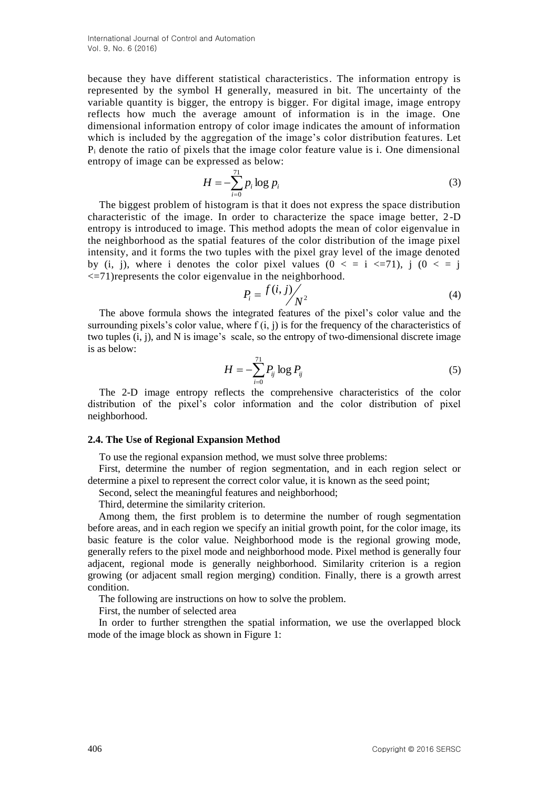because they have different statistical characteristics. The information entropy is represented by the symbol H generally, measured in bit. The uncertainty of the variable quantity is bigger, the entropy is bigger. For digital image, image entropy reflects how much the average amount of information is in the image. One dimensional information entropy of color image indicates the amount of information which is included by the aggregation of the image's color distribution features. Let  $P_i$  denote the ratio of pixels that the image color feature value is i. One dimensional entropy of image can be expressed as below:

$$
H = -\sum_{i=0}^{71} p_i \log p_i \tag{3}
$$

The biggest problem of histogram is that it does not express the space distribution characteristic of the image. In order to characterize the space image better, 2 -D entropy is introduced to image. This method adopts the mean of color eigenvalue in the neighborhood as the spatial features of the color distribution of the image pixel intensity, and it forms the two tuples with the pixel gray level of the image denoted by (i, j), where i denotes the color pixel values  $(0 \lt i \lt i \lt i \lt j)$ , j  $(0 \lt i \lt i \lt j)$ <=71)represents the color eigenvalue in the neighborhood.

$$
P_i = \frac{f(i,j)}{N^2} \tag{4}
$$

The above formula shows the integrated features of the pixel's color value and the surrounding pixels's color value, where  $f(i, j)$  is for the frequency of the characteristics of two tuples (i, j), and N is image's scale, so the entropy of two-dimensional discrete image is as below:

$$
H = -\sum_{i=0}^{71} P_{ij} \log P_{ij}
$$
 (5)

The 2-D image entropy reflects the comprehensive characteristics of the color distribution of the pixel's color information and the color distribution of pixel neighborhood.

#### **2.4. The Use of Regional Expansion Method**

To use the regional expansion method, we must solve three problems:

First, determine the number of region segmentation, and in each region select or determine a pixel to represent the correct color value, it is known as the seed point;

Second, select the meaningful features and neighborhood;

Third, determine the similarity criterion.

Among them, the first problem is to determine the number of rough segmentation before areas, and in each region we specify an initial growth point, for the color image, its basic feature is the color value. Neighborhood mode is the regional growing mode, generally refers to the pixel mode and neighborhood mode. Pixel method is generally four adjacent, regional mode is generally neighborhood. Similarity criterion is a region growing (or adjacent small region merging) condition. Finally, there is a growth arrest condition.

The following are instructions on how to solve the problem.

First, the number of selected area

In order to further strengthen the spatial information, we use the overlapped block mode of the image block as shown in Figure 1: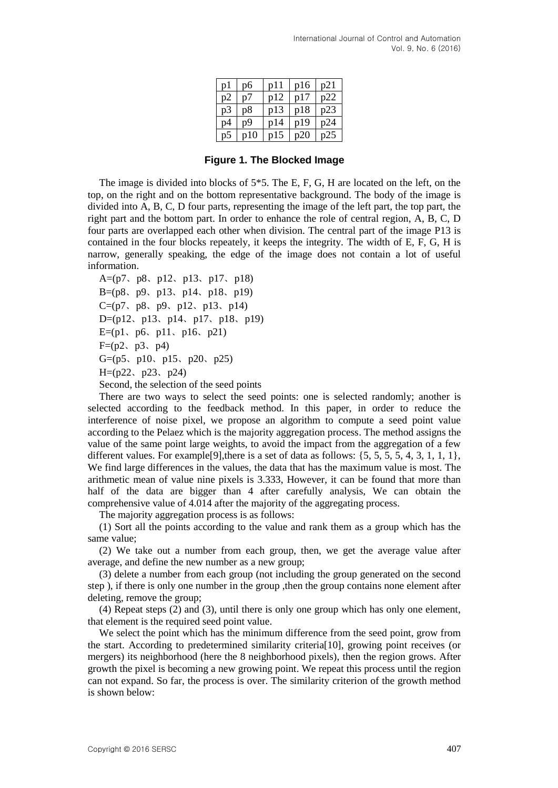| $\mathbf{p}$ | pб                    | p11 | p16 | p21 |
|--------------|-----------------------|-----|-----|-----|
| p2           | $\mathbf{n}^{\gamma}$ | p12 | p17 | n22 |
| р3           | р8                    | p13 | p18 | n23 |
| p4           | p9                    | p14 | p19 | n24 |
| рź           |                       | p15 | n20 |     |

**Figure 1. The Blocked Image**

The image is divided into blocks of  $5*5$ . The E, F, G, H are located on the left, on the top, on the right and on the bottom representative background. The body of the image is divided into A, B, C, D four parts, representing the image of the left part, the top part, the right part and the bottom part. In order to enhance the role of central region, A, B, C, D four parts are overlapped each other when division. The central part of the image P13 is contained in the four blocks repeately, it keeps the integrity. The width of E, F, G, H is narrow, generally speaking, the edge of the image does not contain a lot of useful information.

A=(p7、p8、p12、p13、p17、p18) B=(p8、p9、p13、p14、p18、p19) C=(p7、p8、p9、p12、p13、p14) D=(p12、p13、p14、p17、p18、p19) E=(p1, p6, p11, p16, p21)  $F=(p2, p3, p4)$ G=(p5、p10、p15、p20、p25) H=(p22、p23、p24) Second, the selection of the seed points

There are two ways to select the seed points: one is selected randomly; another is selected according to the feedback method. In this paper, in order to reduce the interference of noise pixel, we propose an algorithm to compute a seed point value according to the Pelaez which is the majority aggregation process. The method assigns the value of the same point large weights, to avoid the impact from the aggregation of a few different values. For example<sup>[9]</sup>, there is a set of data as follows:  $\{5, 5, 5, 5, 4, 3, 1, 1, 1\}$ , We find large differences in the values, the data that has the maximum value is most. The arithmetic mean of value nine pixels is 3.333, However, it can be found that more than half of the data are bigger than 4 after carefully analysis, We can obtain the comprehensive value of 4.014 after the majority of the aggregating process.

The majority aggregation process is as follows:

(1) Sort all the points according to the value and rank them as a group which has the same value;

(2) We take out a number from each group, then, we get the average value after average, and define the new number as a new group;

(3) delete a number from each group (not including the group generated on the second step ), if there is only one number in the group ,then the group contains none element after deleting, remove the group;

(4) Repeat steps (2) and (3), until there is only one group which has only one element, that element is the required seed point value.

We select the point which has the minimum difference from the seed point, grow from the start. According to predetermined similarity criteria[10], growing point receives (or mergers) its neighborhood (here the 8 neighborhood pixels), then the region grows. After growth the pixel is becoming a new growing point. We repeat this process until the region can not expand. So far, the process is over. The similarity criterion of the growth method is shown below: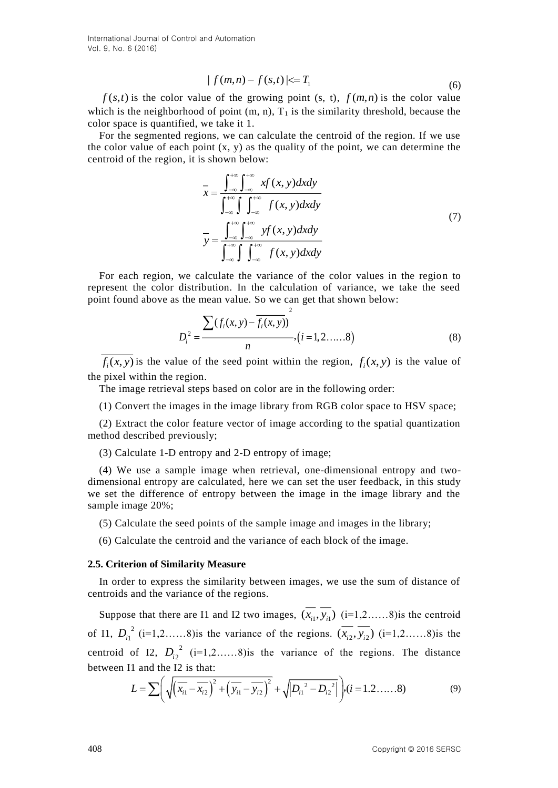International Journal of Control and Automation Vol. 9, No. 6 (2016)

$$
|f(m,n)-f(s,t)| \leq T_1 \tag{6}
$$

 $f(s,t)$  is the color value of the growing point (s, t),  $f(m,n)$  is the color value which is the neighborhood of point  $(m, n)$ ,  $T_1$  is the similarity threshold, because the color space is quantified, we take it 1.

For the segmented regions, we can calculate the centroid of the region. If we use the color value of each point  $(x, y)$  as the quality of the point, we can determine the centroid of the region, it is shown below:

$$
\overline{x} = \frac{\int_{-\infty}^{+\infty} \int_{-\infty}^{+\infty} x f(x, y) dx dy}{\int_{-\infty}^{+\infty} \int_{-\infty}^{+\infty} f(x, y) dx dy}
$$
\n
$$
\overline{y} = \frac{\int_{-\infty}^{+\infty} \int_{-\infty}^{+\infty} y f(x, y) dx dy}{\int_{-\infty}^{+\infty} \int_{-\infty}^{+\infty} f(x, y) dx dy}
$$
\n(7)

For each region, we calculate the variance of the color values in the region to represent the color distribution. In the calculation of variance, we take the seed point found above as the mean value. So we can get that shown below:

2

$$
D_i^2 = \frac{\sum (f_i(x, y) - \overline{f_i(x, y)})}{n}, (i = 1, 2, \dots, 8)
$$
 (8)

 $f_i(x, y)$  *is* the value of the seed point within the region,  $f_i(x, y)$  *is the value of* the pixel within the region.

The image retrieval steps based on color are in the following order:

(1) Convert the images in the image library from RGB color space to HSV space;

(2) Extract the color feature vector of image according to the spatial quantization method described previously;

(3) Calculate 1-D entropy and 2-D entropy of image;

(4) We use a sample image when retrieval, one-dimensional entropy and twodimensional entropy are calculated, here we can set the user feedback, in this study we set the difference of entropy between the image in the image library and the sample image 20%;

(5) Calculate the seed points of the sample image and images in the library;

(6) Calculate the centroid and the variance of each block of the image.

#### **2.5. Criterion of Similarity Measure**

In order to express the similarity between images, we use the sum of distance of centroids and the variance of the regions.

Suppose that there are I1 and I2 two images,  $(x_{i1}, y_{i1})$   $(i=1,2,...).8$ ) is the centroid of I1,  $D_{i_1}^2$  (i=1,2……8) is the variance of the regions.  $(\overline{x}_{i_2}, \overline{y}_{i_2})$  (i=1,2……8) is the centroid of I2,  $D_{i2}^2$  (i=1,2......8) is the variance of the regions. The distance between I1 and the I2 is that:

$$
L = \sum \left( \sqrt{\left(\overline{x_{i1}} - \overline{x_{i2}}\right)^2 + \left(\overline{y_{i1}} - \overline{y_{i2}}\right)^2} + \sqrt{\left|D_{i1}^2 - D_{i2}^2\right|} \right), (i = 1, 2, \dots, 8)
$$
(9)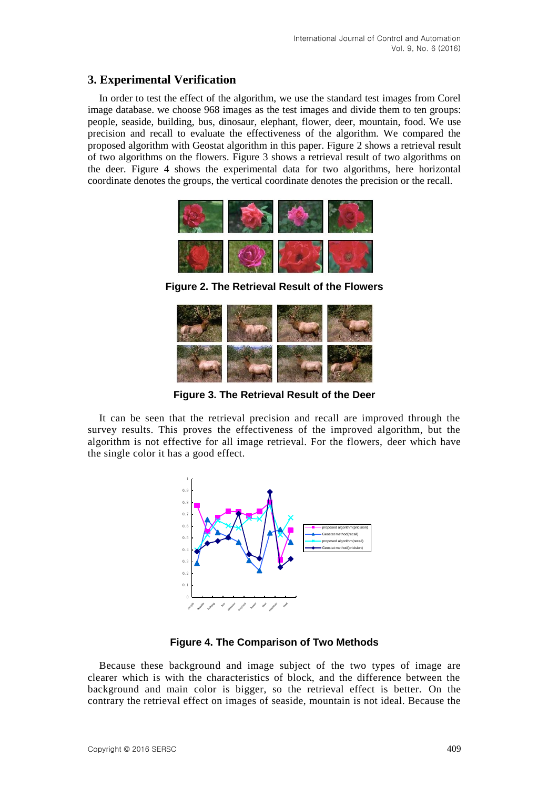### **3. Experimental Verification**

In order to test the effect of the algorithm, we use the standard test images from Corel image database. we choose 968 images as the test images and divide them to ten groups: people, seaside, building, bus, dinosaur, elephant, flower, deer, mountain, food. We use precision and recall to evaluate the effectiveness of the algorithm. We compared the proposed algorithm with Geostat algorithm in this paper. Figure 2 shows a retrieval result of two algorithms on the flowers. Figure 3 shows a retrieval result of two algorithms on the deer. Figure 4 shows the experimental data for two algorithms, here horizontal coordinate denotes the groups, the vertical coordinate denotes the precision or the recall.



**Figure 2. The Retrieval Result of the Flowers**



**Figure 3. The Retrieval Result of the Deer**

It can be seen that the retrieval precision and recall are improved through the survey results. This proves the effectiveness of the improved algorithm, but the algorithm is not effective for all image retrieval. For the flowers, deer which have the single color it has a good effect.



**Figure 4. The Comparison of Two Methods**

Because these background and image subject of the two types of image are clearer which is with the characteristics of block, and the difference between the background and main color is bigger, so the retrieval effect is better. On the contrary the retrieval effect on images of seaside, mountain is not ideal. Because the